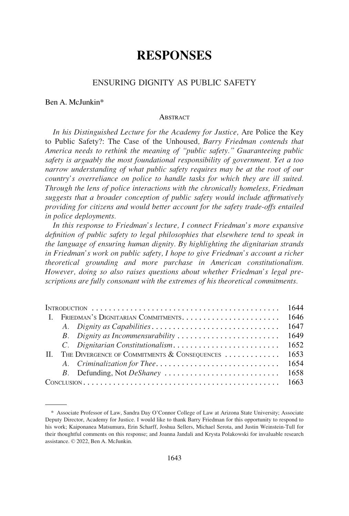# **RESPONSES**

## ENSURING DIGNITY AS PUBLIC SAFETY

#### Ben A. McJunkin\*

#### **ABSTRACT**

*In his Distinguished Lecture for the Academy for Justice,* Are Police the Key to Public Safety?: The Case of the Unhoused*, Barry Friedman contends that America needs to rethink the meaning of "public safety." Guaranteeing public safety is arguably the most foundational responsibility of government. Yet a too narrow understanding of what public safety requires may be at the root of our country's overreliance on police to handle tasks for which they are ill suited. Through the lens of police interactions with the chronically homeless, Friedman suggests that a broader conception of public safety would include affirmatively providing for citizens and would better account for the safety trade-offs entailed in police deployments.* 

*In this response to Friedman's lecture, I connect Friedman's more expansive definition of public safety to legal philosophies that elsewhere tend to speak in the language of ensuring human dignity. By highlighting the dignitarian strands in Friedman's work on public safety, I hope to give Friedman's account a richer theoretical grounding and more purchase in American constitutionalism. However, doing so also raises questions about whether Friedman's legal prescriptions are fully consonant with the extremes of his theoretical commitments.* 

|              |  | 1644                                         |      |
|--------------|--|----------------------------------------------|------|
| - T          |  |                                              | 1646 |
|              |  |                                              | 1647 |
|              |  | B. Dignity as Incommensurability             | 1649 |
|              |  | C. Dignitarian Constitutionalism             | 1652 |
| $\mathbf{H}$ |  | THE DIVERGENCE OF COMMITMENTS & CONSEQUENCES | 1653 |
|              |  | A. Criminalization for Thee                  | 1654 |
|              |  | B. Defunding, Not DeShaney                   | 1658 |
|              |  |                                              | 1663 |

<sup>\*</sup> Associate Professor of Law, Sandra Day O'Connor College of Law at Arizona State University; Associate Deputy Director, Academy for Justice. I would like to thank Barry Friedman for this opportunity to respond to his work; Kaiponanea Matsumura, Erin Scharff, Joshua Sellers, Michael Serota, and Justin Weinstein-Tull for their thoughtful comments on this response; and Joanna Jandali and Krysta Polakowski for invaluable research assistance. © 2022, Ben A. McJunkin.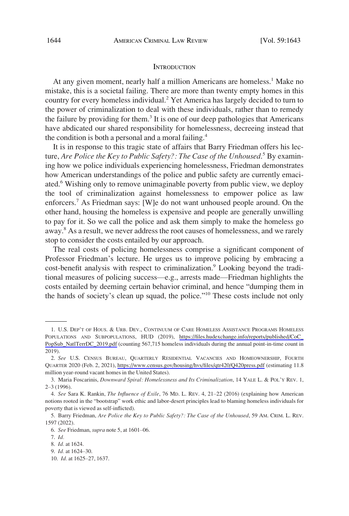#### **INTRODUCTION**

<span id="page-1-0"></span>At any given moment, nearly half a million Americans are homeless.<sup>1</sup> Make no mistake, this is a societal failing. There are more than twenty empty homes in this country for every homeless individual.<sup>2</sup> Yet America has largely decided to turn to the power of criminalization to deal with these individuals, rather than to remedy the failure by providing for them.<sup>3</sup> It is one of our deep pathologies that Americans have abdicated our shared responsibility for homelessness, decreeing instead that the condition is both a personal and a moral failing.<sup>4</sup>

It is in response to this tragic state of affairs that Barry Friedman offers his lecture, *Are Police the Key to Public Safety?: The Case of the Unhoused*. 5 By examining how we police individuals experiencing homelessness, Friedman demonstrates how American understandings of the police and public safety are currently emaciated.<sup>6</sup> Wishing only to remove unimaginable poverty from public view, we deploy the tool of criminalization against homelessness to empower police as law enforcers.7 As Friedman says: [W]e do not want unhoused people around. On the other hand, housing the homeless is expensive and people are generally unwilling to pay for it. So we call the police and ask them simply to make the homeless go away.<sup>8</sup> As a result, we never address the root causes of homelessness, and we rarely stop to consider the costs entailed by our approach.

The real costs of policing homelessness comprise a significant component of Professor Friedman's lecture. He urges us to improve policing by embracing a cost-benefit analysis with respect to criminalization.<sup>9</sup> Looking beyond the traditional measures of policing success—e.g., arrests made—Friedman highlights the costs entailed by deeming certain behavior criminal, and hence "dumping them in the hands of society's clean up squad, the police."10 These costs include not only

<sup>1.</sup> U.S. DEP'T OF HOUS. & URB. DEV., CONTINUUM OF CARE HOMELESS ASSISTANCE PROGRAMS HOMELESS POPULATIONS AND SUBPOPULATIONS, HUD (2019), [https://files.hudexchange.info/reports/published/CoC\\_](https://files.hudexchange.info/reports/published/CoC_PopSub_NatlTerrDC_2019.pdf) [PopSub\\_NatlTerrDC\\_2019.pdf](https://files.hudexchange.info/reports/published/CoC_PopSub_NatlTerrDC_2019.pdf) (counting 567,715 homeless individuals during the annual point-in-time count in 2019).

*See* U.S. CENSUS BUREAU, QUARTERLY RESIDENTIAL VACANCIES AND HOMEOWNERSHIP, FOURTH 2. QUARTER 2020 (Feb. 2, 2021), <https://www.census.gov/housing/hvs/files/qtr420/Q420press.pdf>(estimating 11.8 million year-round vacant homes in the United States).

<sup>3.</sup> Maria Foscarinis, *Downward Spiral: Homelessness and Its Criminalization*, 14 YALE L. & POL'Y REV. 1, 2–3 (1996).

<sup>4.</sup> *See* Sara K. Rankin, *The Influence of Exile*, 76 MD. L. REV. 4, 21–22 (2016) (explaining how American notions rooted in the "bootstrap" work ethic and labor-desert principles lead to blaming homeless individuals for poverty that is viewed as self-inflicted).

<sup>5.</sup> Barry Friedman, *Are Police the Key to Public Safety?: The Case of the Unhoused*, 59 AM. CRIM. L. REV. 1597 (2022).

<sup>6.</sup> *See* Friedman, *supra* note 5, at 1601–06.

<sup>7.</sup> *Id.* 

<sup>8.</sup> *Id.* at 1624.

<sup>9.</sup> *Id.* at 1624–30.

<sup>10.</sup> *Id.* at 1625–27, 1637.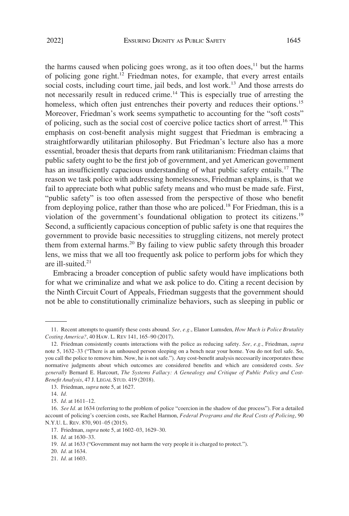the harms caused when policing goes wrong, as it too often does, $11$  but the harms of policing gone right.<sup>12</sup> Friedman notes, for example, that every arrest entails social costs, including court time, jail beds, and lost work.<sup>13</sup> And those arrests do not necessarily result in reduced crime.<sup>14</sup> This is especially true of arresting the homeless, which often just entrenches their poverty and reduces their options.<sup>15</sup> Moreover, Friedman's work seems sympathetic to accounting for the "soft costs" of policing, such as the social cost of coercive police tactics short of arrest.16 This emphasis on cost-benefit analysis might suggest that Friedman is embracing a straightforwardly utilitarian philosophy. But Friedman's lecture also has a more essential, broader thesis that departs from rank utilitarianism: Friedman claims that public safety ought to be the first job of government, and yet American government has an insufficiently capacious understanding of what public safety entails.<sup>17</sup> The reason we task police with addressing homelessness, Friedman explains, is that we fail to appreciate both what public safety means and who must be made safe. First, "public safety" is too often assessed from the perspective of those who benefit from deploying police, rather than those who are policed.<sup>18</sup> For Friedman, this is a violation of the government's foundational obligation to protect its citizens.<sup>19</sup> Second, a sufficiently capacious conception of public safety is one that requires the government to provide basic necessities to struggling citizens, not merely protect them from external harms.<sup>20</sup> By failing to view public safety through this broader lens, we miss that we all too frequently ask police to perform jobs for which they

are ill-suited.<sup>21</sup>

Embracing a broader conception of public safety would have implications both for what we criminalize and what we ask police to do. Citing a recent decision by the Ninth Circuit Court of Appeals, Friedman suggests that the government should not be able to constitutionally criminalize behaviors, such as sleeping in public or

<sup>11.</sup> Recent attempts to quantify these costs abound. *See, e.g.*, Elanor Lumsden, *How Much is Police Brutality Costing America?*, 40 HAW. L. REV 141, 165–90 (2017).

<sup>12.</sup> Friedman consistently counts interactions with the police as reducing safety. *See, e.g.*, Friedman, *supra*  note 5, 1632–33 ("There is an unhoused person sleeping on a bench near your home. You do not feel safe. So, you call the police to remove him. Now, he is not safe."). Any cost-benefit analysis necessarily incorporates these normative judgments about which outcomes are considered benefits and which are considered costs. *See generally* Bernard E. Harcourt, *The Systems Fallacy: A Genealogy and Critique of Public Policy and Cost-Benefit Analysis*, 47 J. LEGAL STUD. 419 (2018).

<sup>13.</sup> Friedman, *supra* note 5, at 1627.

<sup>14.</sup> *Id.* 

<sup>15.</sup> *Id.* at 1611–12.

<sup>16.</sup> *See Id.* at 1634 (referring to the problem of police "coercion in the shadow of due process"). For a detailed account of policing's coercion costs, see Rachel Harmon, *Federal Programs and the Real Costs of Policing*, 90 N.Y.U. L. REV. 870, 901–05 (2015).

<sup>17.</sup> Friedman, *supra* note 5, at 1602–03, 1629–30.

<sup>18.</sup> *Id.* at 1630–33.

<sup>19.</sup> *Id.* at 1633 ("Government may not harm the very people it is charged to protect.").

<sup>20.</sup> *Id.* at 1634.

<sup>21.</sup> *Id.* at 1603.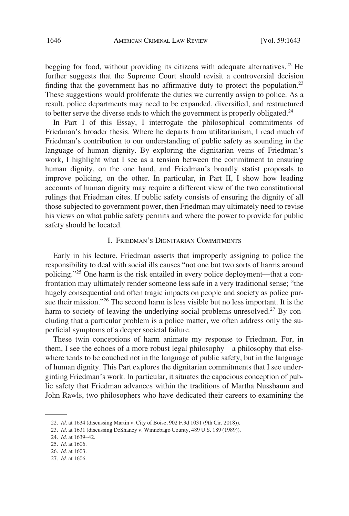<span id="page-3-0"></span>begging for food, without providing its citizens with adequate alternatives.<sup>22</sup> He further suggests that the Supreme Court should revisit a controversial decision finding that the government has no affirmative duty to protect the population.<sup>23</sup> These suggestions would proliferate the duties we currently assign to police. As a result, police departments may need to be expanded, diversified, and restructured to better serve the diverse ends to which the government is properly obligated. $^{24}$ 

In Part I of this Essay, I interrogate the philosophical commitments of Friedman's broader thesis. Where he departs from utilitarianism, I read much of Friedman's contribution to our understanding of public safety as sounding in the language of human dignity. By exploring the dignitarian veins of Friedman's work, I highlight what I see as a tension between the commitment to ensuring human dignity, on the one hand, and Friedman's broadly statist proposals to improve policing, on the other. In particular, in Part II, I show how leading accounts of human dignity may require a different view of the two constitutional rulings that Friedman cites. If public safety consists of ensuring the dignity of all those subjected to government power, then Friedman may ultimately need to revise his views on what public safety permits and where the power to provide for public safety should be located.

#### I. FRIEDMAN'S DIGNITARIAN COMMITMENTS

Early in his lecture, Friedman asserts that improperly assigning to police the responsibility to deal with social ills causes "not one but two sorts of harms around policing."25 One harm is the risk entailed in every police deployment—that a confrontation may ultimately render someone less safe in a very traditional sense; "the hugely consequential and often tragic impacts on people and society as police pursue their mission."26 The second harm is less visible but no less important. It is the harm to society of leaving the underlying social problems unresolved.<sup>27</sup> By concluding that a particular problem is a police matter, we often address only the superficial symptoms of a deeper societal failure.

These twin conceptions of harm animate my response to Friedman. For, in them, I see the echoes of a more robust legal philosophy—a philosophy that elsewhere tends to be couched not in the language of public safety, but in the language of human dignity. This Part explores the dignitarian commitments that I see undergirding Friedman's work. In particular, it situates the capacious conception of public safety that Friedman advances within the traditions of Martha Nussbaum and John Rawls, two philosophers who have dedicated their careers to examining the

<sup>22.</sup> *Id.* at 1634 (discussing Martin v. City of Boise, 902 F.3d 1031 (9th Cir. 2018)).

<sup>23.</sup> *Id.* at 1631 (discussing DeShaney v. Winnebago County, 489 U.S. 189 (1989)).

<sup>24.</sup> *Id.* at 1639–42.

<sup>25.</sup> *Id.* at 1606.

<sup>26.</sup> *Id.* at 1603.

<sup>27.</sup> *Id.* at 1606.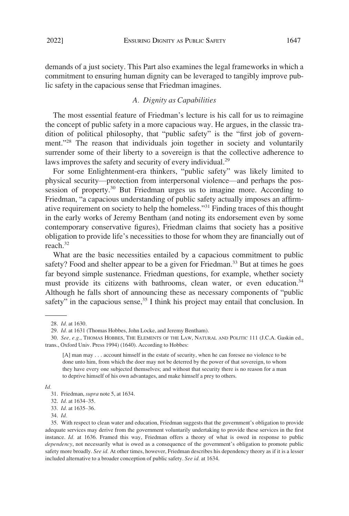<span id="page-4-0"></span>demands of a just society. This Part also examines the legal frameworks in which a commitment to ensuring human dignity can be leveraged to tangibly improve public safety in the capacious sense that Friedman imagines.

## *A. Dignity as Capabilities*

The most essential feature of Friedman's lecture is his call for us to reimagine the concept of public safety in a more capacious way. He argues, in the classic tradition of political philosophy, that "public safety" is the "first job of government."<sup>28</sup> The reason that individuals join together in society and voluntarily surrender some of their liberty to a sovereign is that the collective adherence to laws improves the safety and security of every individual.<sup>29</sup>

For some Enlightenment-era thinkers, "public safety" was likely limited to physical security—protection from interpersonal violence—and perhaps the possession of property.<sup>30</sup> But Friedman urges us to imagine more. According to Friedman, "a capacious understanding of public safety actually imposes an affirmative requirement on society to help the homeless."31 Finding traces of this thought in the early works of Jeremy Bentham (and noting its endorsement even by some contemporary conservative figures), Friedman claims that society has a positive obligation to provide life's necessities to those for whom they are financially out of reach.32

What are the basic necessities entailed by a capacious commitment to public safety? Food and shelter appear to be a given for Friedman.<sup>33</sup> But at times he goes far beyond simple sustenance. Friedman questions, for example, whether society must provide its citizens with bathrooms, clean water, or even education.<sup>34</sup> Although he falls short of announcing these as necessary components of "public safety" in the capacious sense,  $35$  I think his project may entail that conclusion. In

*Id.* 

33. *Id.* at 1635–36.

<sup>28.</sup> *Id.* at 1630.

<sup>29.</sup> *Id.* at 1631 (Thomas Hobbes, John Locke, and Jeremy Bentham).

<sup>30.</sup> *See, e.g.*, THOMAS HOBBES, THE ELEMENTS OF THE LAW, NATURAL AND POLITIC 111 (J.C.A. Gaskin ed., trans., Oxford Univ. Press 1994) (1640). According to Hobbes:

<sup>[</sup>A] man may . . . account himself in the estate of security, when he can foresee no violence to be done unto him, from which the doer may not be deterred by the power of that sovereign, to whom they have every one subjected themselves; and without that security there is no reason for a man to deprive himself of his own advantages, and make himself a prey to others.

<sup>31.</sup> Friedman, *supra* note 5, at 1634.

<sup>32.</sup> *Id.* at 1634–35.

<sup>34.</sup> *Id.* 

<sup>35.</sup> With respect to clean water and education, Friedman suggests that the government's obligation to provide adequate services may derive from the government voluntarily undertaking to provide these services in the first instance. *Id.* at 1636. Framed this way, Friedman offers a theory of what is owed in response to public *dependency*, not necessarily what is owed as a consequence of the government's obligation to promote public safety more broadly. *See id.* At other times, however, Friedman describes his dependency theory as if it is a lesser included alternative to a broader conception of public safety. *See id.* at 1634.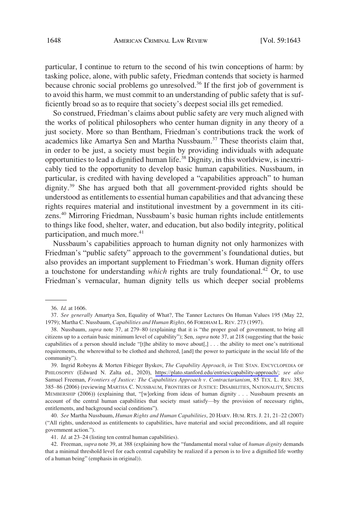particular, I continue to return to the second of his twin conceptions of harm: by tasking police, alone, with public safety, Friedman contends that society is harmed because chronic social problems go unresolved.<sup>36</sup> If the first job of government is to avoid this harm, we must commit to an understanding of public safety that is sufficiently broad so as to require that society's deepest social ills get remedied.

So construed, Friedman's claims about public safety are very much aligned with the works of political philosophers who center human dignity in any theory of a just society. More so than Bentham, Friedman's contributions track the work of academics like Amartya Sen and Martha Nussbaum.<sup>37</sup> These theorists claim that, in order to be just, a society must begin by providing individuals with adequate opportunities to lead a dignified human life.<sup>38</sup> Dignity, in this worldview, is inextricably tied to the opportunity to develop basic human capabilities. Nussbaum, in particular, is credited with having developed a "capabilities approach" to human dignity.39 She has argued both that all government-provided rights should be understood as entitlements to essential human capabilities and that advancing these rights requires material and institutional investment by a government in its citizens.40 Mirroring Friedman, Nussbaum's basic human rights include entitlements to things like food, shelter, water, and education, but also bodily integrity, political participation, and much more.<sup>41</sup>

Nussbaum's capabilities approach to human dignity not only harmonizes with Friedman's "public safety" approach to the government's foundational duties, but also provides an important supplement to Friedman's work. Human dignity offers a touchstone for understanding *which* rights are truly foundational.<sup>42</sup> Or, to use Friedman's vernacular, human dignity tells us which deeper social problems

39. Ingrid Robeyns & Morten Fibieger Byskov, *The Capability Approach*, *in* THE STAN. ENCYCLOPEDIA OF PHILOSOPHY (Edward N. Zalta ed., 2020), [https://plato.stanford.edu/entries/capability-approach/;](https://plato.stanford.edu/entries/capability-approach/) *see also*  Samuel Freeman, *Frontiers of Justice: The Capabilities Approach v. Contractarianism*, 85 TEX. L. REV. 385, 385–86 (2006) (reviewing MARTHA C. NUSSBAUM, FRONTIERS OF JUSTICE: DISABILITIES, NATIONALITY, SPECIES MEMBERSHIP (2006)) (explaining that, "[w]orking from ideas of human dignity . . . Nussbaum presents an account of the central human capabilities that society must satisfy—by the provision of necessary rights, entitlements, and background social conditions").

40. *See* Martha Nussbaum, *Human Rights and Human Capabilities*, 20 HARV. HUM. RTS. J. 21, 21–22 (2007) ("All rights, understood as entitlements to capabilities, have material and social preconditions, and all require government action.").

41. *Id.* at 23–24 (listing ten central human capabilities).

42. Freeman, *supra* note 39, at 388 (explaining how the "fundamental moral value of *human dignity* demands that a minimal threshold level for each central capability be realized if a person is to live a dignified life worthy of a human being" (emphasis in original)).

<sup>36.</sup> *Id.* at 1606.

<sup>37.</sup> *See generally* Amartya Sen, Equality of What?, The Tanner Lectures On Human Values 195 (May 22, 1979); Martha C. Nussbaum, *Capabilities and Human Rights*, 66 FORDHAM L. REV. 273 (1997).

<sup>38.</sup> Nussbaum, *supra* note 37, at 279–80 (explaining that it is "the proper goal of government, to bring all citizens up to a certain basic minimum level of capability"); Sen, *supra* note 37, at 218 (suggesting that the basic capabilities of a person should include "[t]he ability to move about[,] . . . the ability to meet one's nutritional requirements, the wherewithal to be clothed and sheltered, [and] the power to participate in the social life of the community").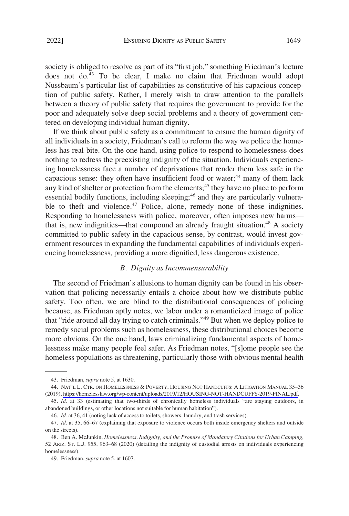<span id="page-6-0"></span>society is obliged to resolve as part of its "first job," something Friedman's lecture does not do.<sup>43</sup> To be clear, I make no claim that Friedman would adopt Nussbaum's particular list of capabilities as constitutive of his capacious conception of public safety. Rather, I merely wish to draw attention to the parallels between a theory of public safety that requires the government to provide for the poor and adequately solve deep social problems and a theory of government centered on developing individual human dignity.

If we think about public safety as a commitment to ensure the human dignity of all individuals in a society, Friedman's call to reform the way we police the homeless has real bite. On the one hand, using police to respond to homelessness does nothing to redress the preexisting indignity of the situation. Individuals experiencing homelessness face a number of deprivations that render them less safe in the capacious sense: they often have insufficient food or water;<sup>44</sup> many of them lack any kind of shelter or protection from the elements; $45$  they have no place to perform essential bodily functions, including sleeping;<sup>46</sup> and they are particularly vulnerable to theft and violence.<sup>47</sup> Police, alone, remedy none of these indignities. Responding to homelessness with police, moreover, often imposes new harms that is, new indignities—that compound an already fraught situation.<sup>48</sup> A society committed to public safety in the capacious sense, by contrast, would invest government resources in expanding the fundamental capabilities of individuals experiencing homelessness, providing a more dignified, less dangerous existence.

#### *B. Dignity as Incommensurability*

The second of Friedman's allusions to human dignity can be found in his observation that policing necessarily entails a choice about how we distribute public safety. Too often, we are blind to the distributional consequences of policing because, as Friedman aptly notes, we labor under a romanticized image of police that "ride around all day trying to catch criminals."49 But when we deploy police to remedy social problems such as homelessness, these distributional choices become more obvious. On the one hand, laws criminalizing fundamental aspects of homelessness make many people feel safer. As Friedman notes, "[s]ome people see the homeless populations as threatening, particularly those with obvious mental health

<sup>43.</sup> Friedman, *supra* note 5, at 1630.

<sup>44.</sup> NAT'L L. CTR. ON HOMELESSNESS & POVERTY, HOUSING NOT HANDCUFFS: A LITIGATION MANUAL 35-36 (2019),<https://homelesslaw.org/wp-content/uploads/2019/12/HOUSING-NOT-HANDCUFFS-2019-FINAL.pdf>.

<sup>45.</sup> *Id.* at 33 (estimating that two-thirds of chronically homeless individuals "are staying outdoors, in abandoned buildings, or other locations not suitable for human habitation").

<sup>46.</sup> *Id.* at 36, 41 (noting lack of access to toilets, showers, laundry, and trash services).

<sup>47.</sup> *Id.* at 35, 66–67 (explaining that exposure to violence occurs both inside emergency shelters and outside on the streets).

<sup>48.</sup> Ben A. McJunkin, *Homelessness, Indignity, and the Promise of Mandatory Citations for Urban Camping*, 52 ARIZ. ST. L.J. 955, 963–68 (2020) (detailing the indignity of custodial arrests on individuals experiencing homelessness).

<sup>49.</sup> Friedman, *supra* note 5, at 1607.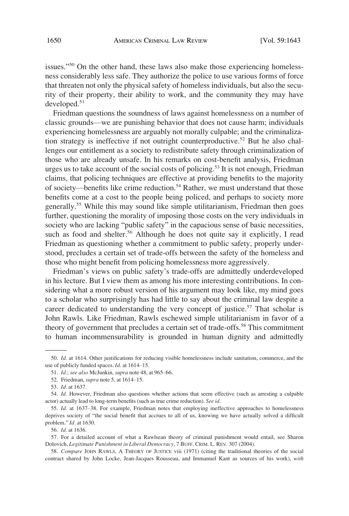issues."<sup>50</sup> On the other hand, these laws also make those experiencing homelessness considerably less safe. They authorize the police to use various forms of force that threaten not only the physical safety of homeless individuals, but also the security of their property, their ability to work, and the community they may have developed.51

Friedman questions the soundness of laws against homelessness on a number of classic grounds—we are punishing behavior that does not cause harm; individuals experiencing homelessness are arguably not morally culpable; and the criminalization strategy is ineffective if not outright counterproductive.<sup>52</sup> But he also challenges our entitlement as a society to redistribute safety through criminalization of those who are already unsafe. In his remarks on cost-benefit analysis, Friedman urges us to take account of the social costs of policing.<sup>53</sup> It is not enough, Friedman claims, that policing techniques are effective at providing benefits to the majority of society—benefits like crime reduction.<sup>54</sup> Rather, we must understand that those benefits come at a cost to the people being policed, and perhaps to society more generally.<sup>55</sup> While this may sound like simple utilitarianism, Friedman then goes further, questioning the morality of imposing those costs on the very individuals in society who are lacking "public safety" in the capacious sense of basic necessities, such as food and shelter.<sup>56</sup> Although he does not quite say it explicitly, I read Friedman as questioning whether a commitment to public safety, properly understood, precludes a certain set of trade-offs between the safety of the homeless and those who might benefit from policing homelessness more aggressively.

Friedman's views on public safety's trade-offs are admittedly underdeveloped in his lecture. But I view them as among his more interesting contributions. In considering what a more robust version of his argument may look like, my mind goes to a scholar who surprisingly has had little to say about the criminal law despite a career dedicated to understanding the very concept of justice.<sup>57</sup> That scholar is John Rawls. Like Friedman, Rawls eschewed simple utilitarianism in favor of a theory of government that precludes a certain set of trade-offs.<sup>58</sup> This commitment to human incommensurability is grounded in human dignity and admittedly

<sup>50.</sup> *Id.* at 1614. Other justifications for reducing visible homelessness include sanitation, commerce, and the use of publicly funded spaces. *Id.* at 1614–15.

<sup>51.</sup> *Id.*; *see also* McJunkin, *supra* note 48, at 965–66.

<sup>52.</sup> Friedman, *supra* note 5, at 1614–15.

<sup>53.</sup> *Id.* at 1637.

<sup>54.</sup> *Id.* However, Friedman also questions whether actions that seem effective (such as arresting a culpable actor) actually lead to long-term benefits (such as true crime reduction). *See id.* 

<sup>55.</sup> *Id.* at 1637–38. For example, Friedman notes that employing ineffective approaches to homelessness deprives society of "the social benefit that accrues to all of us, knowing we have actually solved a difficult problem." *Id.* at 1630.

<sup>56.</sup> *Id.* at 1636.

<sup>57.</sup> For a detailed account of what a Rawlsean theory of criminal punishment would entail, see Sharon Dolovich, *Legitimate Punishment in Liberal Democracy*, 7 BUFF. CRIM. L. REV. 307 (2004).

<sup>58.</sup> *Compare* JOHN RAWLS, A THEORY OF JUSTICE viii (1971) (citing the traditional theories of the social contract shared by John Locke, Jean-Jacques Rousseau, and Immanuel Kant as sources of his work), *with*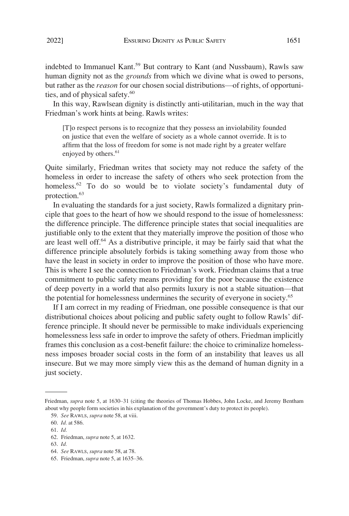indebted to Immanuel Kant.<sup>59</sup> But contrary to Kant (and Nussbaum), Rawls saw human dignity not as the *grounds* from which we divine what is owed to persons, but rather as the *reason* for our chosen social distributions—of rights, of opportunities, and of physical safety.<sup>60</sup>

In this way, Rawlsean dignity is distinctly anti-utilitarian, much in the way that Friedman's work hints at being. Rawls writes:

[T]o respect persons is to recognize that they possess an inviolability founded on justice that even the welfare of society as a whole cannot override. It is to affirm that the loss of freedom for some is not made right by a greater welfare enjoyed by others.<sup>61</sup>

Quite similarly, Friedman writes that society may not reduce the safety of the homeless in order to increase the safety of others who seek protection from the homeless.<sup>62</sup> To do so would be to violate society's fundamental duty of protection.<sup>63</sup>

In evaluating the standards for a just society, Rawls formalized a dignitary principle that goes to the heart of how we should respond to the issue of homelessness: the difference principle. The difference principle states that social inequalities are justifiable only to the extent that they materially improve the position of those who are least well off. $64$  As a distributive principle, it may be fairly said that what the difference principle absolutely forbids is taking something away from those who have the least in society in order to improve the position of those who have more. This is where I see the connection to Friedman's work. Friedman claims that a true commitment to public safety means providing for the poor because the existence of deep poverty in a world that also permits luxury is not a stable situation—that the potential for homelessness undermines the security of everyone in society.<sup>65</sup>

If I am correct in my reading of Friedman, one possible consequence is that our distributional choices about policing and public safety ought to follow Rawls' difference principle. It should never be permissible to make individuals experiencing homelessness less safe in order to improve the safety of others. Friedman implicitly frames this conclusion as a cost-benefit failure: the choice to criminalize homelessness imposes broader social costs in the form of an instability that leaves us all insecure. But we may more simply view this as the demand of human dignity in a just society.

Friedman, *supra* note 5, at 1630–31 (citing the theories of Thomas Hobbes, John Locke, and Jeremy Bentham about why people form societies in his explanation of the government's duty to protect its people).

<sup>59.</sup> *See* RAWLS, *supra* note 58, at viii.

<sup>60.</sup> *Id.* at 586.

<sup>61.</sup> *Id.* 

<sup>62.</sup> Friedman, *supra* note 5, at 1632.

<sup>63.</sup> *Id.* 

<sup>64.</sup> *See* RAWLS, *supra* note 58, at 78.

<sup>65.</sup> Friedman, *supra* note 5, at 1635–36.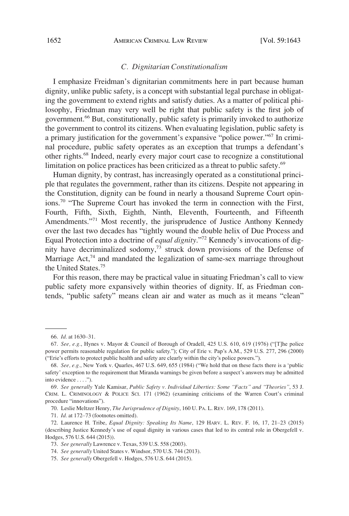## *C. Dignitarian Constitutionalism*

<span id="page-9-0"></span>I emphasize Freidman's dignitarian commitments here in part because human dignity, unlike public safety, is a concept with substantial legal purchase in obligating the government to extend rights and satisfy duties. As a matter of political philosophy, Friedman may very well be right that public safety is the first job of government.66 But, constitutionally, public safety is primarily invoked to authorize the government to control its citizens. When evaluating legislation, public safety is a primary justification for the government's expansive "police power."67 In criminal procedure, public safety operates as an exception that trumps a defendant's other rights.68 Indeed, nearly every major court case to recognize a constitutional limitation on police practices has been criticized as a threat to public safety.<sup>69</sup>

Human dignity, by contrast, has increasingly operated as a constitutional principle that regulates the government, rather than its citizens. Despite not appearing in the Constitution, dignity can be found in nearly a thousand Supreme Court opinions.70 "The Supreme Court has invoked the term in connection with the First, Fourth, Fifth, Sixth, Eighth, Ninth, Eleventh, Fourteenth, and Fifteenth Amendments."<sup>71</sup> Most recently, the jurisprudence of Justice Anthony Kennedy over the last two decades has "tightly wound the double helix of Due Process and Equal Protection into a doctrine of *equal dignity*."72 Kennedy's invocations of dignity have decriminalized sodomy, $73$  struck down provisions of the Defense of Marriage Act, $74$  and mandated the legalization of same-sex marriage throughout the United States.75

For this reason, there may be practical value in situating Friedman's call to view public safety more expansively within theories of dignity. If, as Friedman contends, "public safety" means clean air and water as much as it means "clean"

<sup>66.</sup> *Id.* at 1630–31.

<sup>67.</sup> *See, e.g.*, Hynes v. Mayor & Council of Borough of Oradell, 425 U.S. 610, 619 (1976) ("[T]he police power permits reasonable regulation for public safety."); City of Erie v. Pap's A.M., 529 U.S. 277, 296 (2000) ("Erie's efforts to protect public health and safety are clearly within the city's police powers.").

<sup>68.</sup> *See, e.g.*, New York v. Quarles, 467 U.S. 649, 655 (1984) ("We hold that on these facts there is a 'public safety' exception to the requirement that Miranda warnings be given before a suspect's answers may be admitted into evidence . . . .").

<sup>69.</sup> *See generally* Yale Kamisar, *Public Safety v. Individual Liberties: Some "Facts" and "Theories"*, 53 J. CRIM. L. CRIMINOLOGY & POLICE SCI. 171 (1962) (examining criticisms of the Warren Court's criminal procedure "innovations").

<sup>70.</sup> Leslie Meltzer Henry, *The Jurisprudence of Dignity*, 160 U. PA. L. REV. 169, 178 (2011).

<sup>71.</sup> *Id.* at 172–73 (footnotes omitted).

<sup>72.</sup> Laurence H. Tribe, *Equal Dignity: Speaking Its Name*, 129 HARV. L. REV. F. 16, 17, 21–23 (2015) (describing Justice Kennedy's use of equal dignity in various cases that led to its central role in Obergefell v. Hodges, 576 U.S. 644 (2015)).

<sup>73.</sup> *See generally* Lawrence v. Texas, 539 U.S. 558 (2003).

<sup>74.</sup> *See generally* United States v. Windsor, 570 U.S. 744 (2013).

<sup>75.</sup> *See generally* Obergefell v. Hodges, 576 U.S. 644 (2015).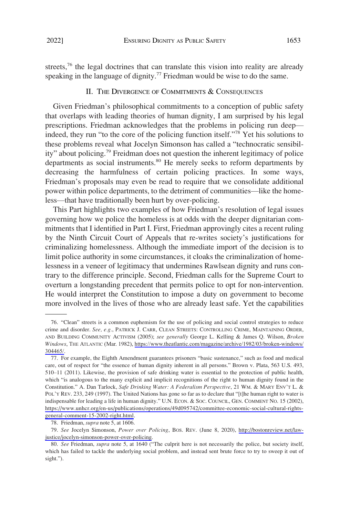<span id="page-10-0"></span>streets,<sup>76</sup> the legal doctrines that can translate this vision into reality are already speaking in the language of dignity.<sup>77</sup> Friedman would be wise to do the same.

#### II. THE DIVERGENCE OF COMMITMENTS & CONSEQUENCES

Given Friedman's philosophical commitments to a conception of public safety that overlaps with leading theories of human dignity, I am surprised by his legal prescriptions. Friedman acknowledges that the problems in policing run deep indeed, they run "to the core of the policing function itself."78 Yet his solutions to these problems reveal what Jocelyn Simonson has called a "technocratic sensibility" about policing.79 Freidman does not question the inherent legitimacy of police departments as social instruments.<sup>80</sup> He merely seeks to reform departments by decreasing the harmfulness of certain policing practices. In some ways, Friedman's proposals may even be read to require that we consolidate additional power within police departments, to the detriment of communities—like the homeless—that have traditionally been hurt by over-policing.

This Part highlights two examples of how Friedman's resolution of legal issues governing how we police the homeless is at odds with the deeper dignitarian commitments that I identified in Part I. First, Friedman approvingly cites a recent ruling by the Ninth Circuit Court of Appeals that re-writes society's justifications for criminalizing homelessness. Although the immediate import of the decision is to limit police authority in some circumstances, it cloaks the criminalization of homelessness in a veneer of legitimacy that undermines Rawlsean dignity and runs contrary to the difference principle. Second, Friedman calls for the Supreme Court to overturn a longstanding precedent that permits police to opt for non-intervention. He would interpret the Constitution to impose a duty on government to become more involved in the lives of those who are already least safe. Yet the capabilities

<sup>76. &</sup>quot;Clean" streets is a common euphemism for the use of policing and social control strategies to reduce crime and disorder. *See, e.g.*, PATRICK J. CARR, CLEAN STREETS: CONTROLLING CRIME, MAINTAINING ORDER, AND BUILDING COMMUNITY ACTIVISM (2005); *see generally* George L. Kelling & James Q. Wilson, *Broken Windows*, THE ATLANTIC (Mar. 1982), [https://www.theatlantic.com/magazine/archive/1982/03/broken-windows/](https://www.theatlantic.com/magazine/archive/1982/03/broken-windows/304465/) [304465/](https://www.theatlantic.com/magazine/archive/1982/03/broken-windows/304465/).

<sup>77.</sup> For example, the Eighth Amendment guarantees prisoners "basic sustenance," such as food and medical care, out of respect for "the essence of human dignity inherent in all persons." Brown v. Plata, 563 U.S. 493, 510–11 (2011). Likewise, the provision of safe drinking water is essential to the protection of public health, which "is analogous to the many explicit and implicit recognitions of the right to human dignity found in the Constitution." A. Dan Tarlock, *Safe Drinking Water: A Federalism Perspective*, 21 WM. & MARY ENV'T L. & POL'Y REV. 233, 249 (1997). The United Nations has gone so far as to declare that "[t]he human right to water is indispensable for leading a life in human dignity." U.N. ECON. & SOC. COUNCIL, GEN. COMMENT NO. 15 (2002), [https://www.unhcr.org/en-us/publications/operations/49d095742/committee-economic-social-cultural-rights](https://www.unhcr.org/en-us/publications/operations/49d095742/committee-economic-social-cultural-rights-general-comment-15-2002-right.html)[general-comment-15-2002-right.html](https://www.unhcr.org/en-us/publications/operations/49d095742/committee-economic-social-cultural-rights-general-comment-15-2002-right.html).

<sup>78.</sup> Friedman, *supra* note 5, at 1606.

*See* Jocelyn Simonson, *Power over Policing*, BOS. REV. (June 8, 2020), [http://bostonreview.net/law-](http://bostonreview.net/law-justice/jocelyn-simonson-power-over-policing)79. [justice/jocelyn-simonson-power-over-policing](http://bostonreview.net/law-justice/jocelyn-simonson-power-over-policing).

<sup>80.</sup> *See* Friedman, *supra* note 5, at 1640 ("The culprit here is not necessarily the police, but society itself, which has failed to tackle the underlying social problem, and instead sent brute force to try to sweep it out of sight.").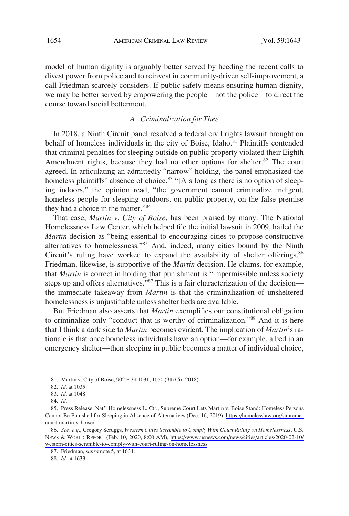<span id="page-11-0"></span>model of human dignity is arguably better served by heeding the recent calls to divest power from police and to reinvest in community-driven self-improvement, a call Friedman scarcely considers. If public safety means ensuring human dignity, we may be better served by empowering the people—not the police—to direct the course toward social betterment.

## *A. Criminalization for Thee*

In 2018, a Ninth Circuit panel resolved a federal civil rights lawsuit brought on behalf of homeless individuals in the city of Boise, Idaho. $81$  Plaintiffs contended that criminal penalties for sleeping outside on public property violated their Eighth Amendment rights, because they had no other options for shelter.<sup>82</sup> The court agreed. In articulating an admittedly "narrow" holding, the panel emphasized the homeless plaintiffs' absence of choice.<sup>83</sup> "[A]s long as there is no option of sleeping indoors," the opinion read, "the government cannot criminalize indigent, homeless people for sleeping outdoors, on public property, on the false premise they had a choice in the matter."<sup>84</sup>

That case, *Martin v. City of Boise*, has been praised by many. The National Homelessness Law Center, which helped file the initial lawsuit in 2009, hailed the *Martin* decision as "being essential to encouraging cities to propose constructive alternatives to homelessness."<sup>85</sup> And, indeed, many cities bound by the Ninth Circuit's ruling have worked to expand the availability of shelter offerings.<sup>86</sup> Friedman, likewise, is supportive of the *Martin* decision. He claims, for example, that *Martin* is correct in holding that punishment is "impermissible unless society steps up and offers alternatives."<sup>87</sup> This is a fair characterization of the decision the immediate takeaway from *Martin* is that the criminalization of unsheltered homelessness is unjustifiable unless shelter beds are available.

But Friedman also asserts that *Martin* exemplifies our constitutional obligation to criminalize only "conduct that is worthy of criminalization."88 And it is here that I think a dark side to *Martin* becomes evident. The implication of *Martin*'s rationale is that once homeless individuals have an option—for example, a bed in an emergency shelter—then sleeping in public becomes a matter of individual choice,

<sup>81.</sup> Martin v. City of Boise, 902 F.3d 1031, 1050 (9th Cir. 2018).

<sup>82.</sup> *Id.* at 1035.

<sup>83.</sup> *Id.* at 1048.

<sup>84.</sup> *Id.* 

<sup>85.</sup> Press Release, Nat'l Homelessness L. Ctr., Supreme Court Lets Martin v. Boise Stand: Homeless Persons Cannot Be Punished for Sleeping in Absence of Alternatives (Dec. 16, 2019), [https://homelesslaw.org/supreme](https://homelesslaw.org/supreme-court-martin-v-boise/)[court-martin-v-boise/](https://homelesslaw.org/supreme-court-martin-v-boise/).

*See, e.g.*, Gregory Scruggs, *Western Cities Scramble to Comply With Court Ruling on Homelessness*, U.S. 86. NEWS & WORLD REPORT (Feb. 10, 2020, 8:00 AM), [https://www.usnews.com/news/cities/articles/2020-02-10/](https://www.usnews.com/news/cities/articles/2020-02-10/western-cities-scramble-to-comply-with-court-ruling-on-homelessness) [western-cities-scramble-to-comply-with-court-ruling-on-homelessness](https://www.usnews.com/news/cities/articles/2020-02-10/western-cities-scramble-to-comply-with-court-ruling-on-homelessness).

<sup>87.</sup> Friedman, *supra* note 5, at 1634.

<sup>88.</sup> *Id.* at 1633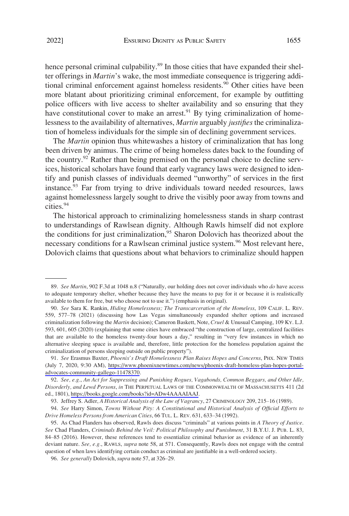hence personal criminal culpability.<sup>89</sup> In those cities that have expanded their shelter offerings in *Martin*'s wake, the most immediate consequence is triggering additional criminal enforcement against homeless residents.<sup>90</sup> Other cities have been more blatant about prioritizing criminal enforcement, for example by outfitting police officers with live access to shelter availability and so ensuring that they have constitutional cover to make an arrest. $91$  By tying criminalization of homelessness to the availability of alternatives, *Martin* arguably *justifies* the criminalization of homeless individuals for the simple sin of declining government services.

The *Martin* opinion thus whitewashes a history of criminalization that has long been driven by animus. The crime of being homeless dates back to the founding of the country.<sup>92</sup> Rather than being premised on the personal choice to decline services, historical scholars have found that early vagrancy laws were designed to identify and punish classes of individuals deemed "unworthy" of services in the first instance. $93$  Far from trying to drive individuals toward needed resources, laws against homelessness largely sought to drive the visibly poor away from towns and cities.94

The historical approach to criminalizing homelessness stands in sharp contrast to understandings of Rawlsean dignity. Although Rawls himself did not explore the conditions for just criminalization,<sup>95</sup> Sharon Dolovich has theorized about the necessary conditions for a Rawlsean criminal justice system.<sup>96</sup> Most relevant here, Dolovich claims that questions about what behaviors to criminalize should happen

<sup>89.</sup> *See Martin*, 902 F.3d at 1048 n.8 ("Naturally, our holding does not cover individuals who *do* have access to adequate temporary shelter, whether because they have the means to pay for it or because it is realistically available to them for free, but who choose not to use it.") (emphasis in original).

<sup>90.</sup> *See* Sara K. Rankin, *Hiding Homelessness; The Transcarceration of the Homeless*, 109 CALIF. L. REV. 559, 577–78 (2021) (discussing how Las Vegas simultaneously expanded shelter options and increased criminalization following the *Martin* decision); Cameron Baskett, Note, *Cruel* & Unusual Camping, 109 KY. L.J. 593, 601, 605 (2020) (explaining that some cities have embraced "the construction of large, centralized facilities that are available to the homeless twenty-four hours a day," resulting in "very few instances in which no alternative sleeping space is available and, therefore, little protection for the homeless population against the criminalization of persons sleeping outside on public property").

*See* Erasmus Baxter, *Phoenix's Draft Homelessness Plan Raises Hopes and Concerns*, PHX. NEW TIMES 91. (July 7, 2020, 9:30 AM), [https://www.phoenixnewtimes.com/news/phoenix-draft-homeless-plan-hopes-portal](https://www.phoenixnewtimes.com/news/phoenix-draft-homeless-plan-hopes-portal-advocates-community-gallego-11478370)[advocates-community-gallego-11478370.](https://www.phoenixnewtimes.com/news/phoenix-draft-homeless-plan-hopes-portal-advocates-community-gallego-11478370)

*See, e.g.*, *An Act for Suppressing and Punishing Rogues, Vagabonds, Common Beggars, and Other Idle,*  92. *Disorderly, and Lewd Persons*, *in* THE PERPETUAL LAWS OF THE COMMONWEALTH OF MASSACHUSETTS 411 (2d ed., 1801), <https://books.google.com/books?id=ADw4AAAAIAAJ>.

<sup>93.</sup> Jeffrey S. Adler, *A Historical Analysis of the Law of Vagrancy*, 27 CRIMINOLOGY 209, 215–16 (1989).

<sup>94.</sup> *See* Harry Simon, *Towns Without Pity: A Constitutional and Historical Analysis of Official Efforts to Drive Homeless Persons from American Cities*, 66 TUL. L. REV. 631, 633–34 (1992).

<sup>95.</sup> As Chad Flanders has observed, Rawls does discuss "criminals" at various points in *A Theory of Justice*. *See* Chad Flanders, *Criminals Behind the Veil: Political Philosophy and Punishment*, 31 B.Y.U. J. PUB. L. 83, 84–85 (2016). However, these references tend to essentialize criminal behavior as evidence of an inherently deviant nature. *See, e.g.*, RAWLS, *supra* note 58, at 571. Consequently, Rawls does not engage with the central question of when laws identifying certain conduct as criminal are justifiable in a well-ordered society.

<sup>96.</sup> *See generally* Dolovich, *supra* note 57, at 326–29.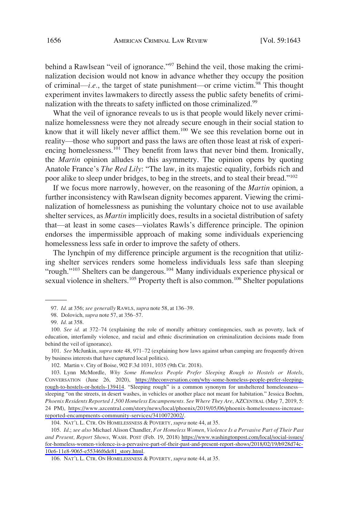behind a Rawlsean "veil of ignorance."<sup>97</sup> Behind the veil, those making the criminalization decision would not know in advance whether they occupy the position of criminal—*i.e.*, the target of state punishment—or crime victim.<sup>98</sup> This thought experiment invites lawmakers to directly assess the public safety benefits of criminalization with the threats to safety inflicted on those criminalized.<sup>99</sup>

What the veil of ignorance reveals to us is that people would likely never criminalize homelessness were they not already secure enough in their social station to know that it will likely never afflict them.<sup>100</sup> We see this revelation borne out in reality—those who support and pass the laws are often those least at risk of experiencing homelessness.<sup>101</sup> They benefit from laws that never bind them. Ironically, the *Martin* opinion alludes to this asymmetry. The opinion opens by quoting Anatole France's *The Red Lily*: "The law, in its majestic equality, forbids rich and poor alike to sleep under bridges, to beg in the streets, and to steal their bread."<sup>102</sup>

If we focus more narrowly, however, on the reasoning of the *Martin* opinion, a further inconsistency with Rawlsean dignity becomes apparent. Viewing the criminalization of homelessness as punishing the voluntary choice not to use available shelter services, as *Martin* implicitly does, results in a societal distribution of safety that—at least in some cases—violates Rawls's difference principle. The opinion endorses the impermissible approach of making some individuals experiencing homelessness less safe in order to improve the safety of others.

The lynchpin of my difference principle argument is the recognition that utilizing shelter services renders some homeless individuals less safe than sleeping "rough."<sup>103</sup> Shelters can be dangerous.<sup>104</sup> Many individuals experience physical or sexual violence in shelters.<sup>105</sup> Property theft is also common.<sup>106</sup> Shelter populations

101. *See* McJunkin, *supra* note 48, 971–72 (explaining how laws against urban camping are frequently driven by business interests that have captured local politics).

<sup>97.</sup> *Id.* at 356; *see generally* RAWLS, *supra* note 58, at 136–39.

<sup>98.</sup> Dolovich, *supra* note 57, at 356–57.

<sup>99.</sup> *Id.* at 358.

<sup>100.</sup> *See id.* at 372–74 (explaining the role of morally arbitrary contingencies, such as poverty, lack of education, interfamily violence, and racial and ethnic discrimination on criminalization decisions made from behind the veil of ignorance).

<sup>102.</sup> Martin v. City of Boise, 902 F.3d 1031, 1035 (9th Cir. 2018).

Lynn McMordle, *Why Some Homeless People Prefer Sleeping Rough to Hostels or Hotels*, 103. CONVERSATION (June 26, 2020), [https://theconversation.com/why-some-homeless-people-prefer-sleeping](https://theconversation.com/why-some-homeless-people-prefer-sleeping-rough-to-hostels-or-hotels-139414)[rough-to-hostels-or-hotels-139414](https://theconversation.com/why-some-homeless-people-prefer-sleeping-rough-to-hostels-or-hotels-139414). "Sleeping rough" is a common synonym for unsheltered homelessness sleeping "on the streets, in desert washes, in vehicles or another place not meant for habitation." Jessica Boehm, *Phoenix Residents Reported 1,500 Homeless Encampements. See Where They Are*, AZCENTRAL (May 7, 2019, 5: 24 PM), [https://www.azcentral.com/story/news/local/phoenix/2019/05/06/phoenix-homelessness-increase](https://www.azcentral.com/story/news/local/phoenix/2019/05/06/phoenix-homelessness-increase-reported-encampments-community-services/3410072002/)[reported-encampments-community-services/3410072002/](https://www.azcentral.com/story/news/local/phoenix/2019/05/06/phoenix-homelessness-increase-reported-encampments-community-services/3410072002/).

<sup>104.</sup> NAT'L L. CTR. ON HOMELESSNESS & POVERTY, *supra* note 44, at 35.

*Id*.; *see also* Michael Alison Chandler, *For Homeless Women, Violence Is a Pervasive Part of Their Past*  105. *and Present, Report Shows*, WASH. POST (Feb. 19, 2018) [https://www.washingtonpost.com/local/social-issues/](https://www.washingtonpost.com/local/social-issues/for-homeless-women-violence-is-a-pervasive-part-of-their-past-and-present-report-shows/2018/02/19/b928d74c-10e6-11e8-9065-e55346f6de81_story.html) [for-homeless-women-violence-is-a-pervasive-part-of-their-past-and-present-report-shows/2018/02/19/b928d74c-](https://www.washingtonpost.com/local/social-issues/for-homeless-women-violence-is-a-pervasive-part-of-their-past-and-present-report-shows/2018/02/19/b928d74c-10e6-11e8-9065-e55346f6de81_story.html)[10e6-11e8-9065-e55346f6de81\\_story.html](https://www.washingtonpost.com/local/social-issues/for-homeless-women-violence-is-a-pervasive-part-of-their-past-and-present-report-shows/2018/02/19/b928d74c-10e6-11e8-9065-e55346f6de81_story.html).

<sup>106.</sup> NAT'L L. CTR. ON HOMELESSNESS & POVERTY, *supra* note 44, at 35.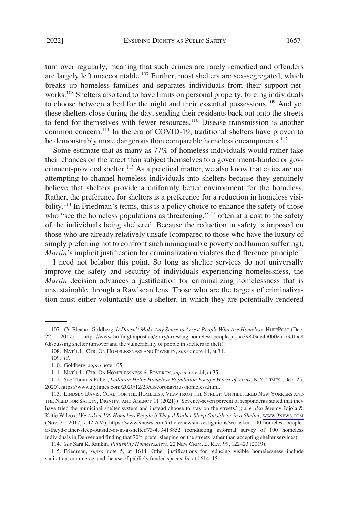turn over regularly, meaning that such crimes are rarely remedied and offenders are largely left unaccountable.<sup>107</sup> Further, most shelters are sex-segregated, which breaks up homeless families and separates individuals from their support networks.<sup>108</sup> Shelters also tend to have limits on personal property, forcing individuals to choose between a bed for the night and their essential possessions.109 And yet these shelters close during the day, sending their residents back out onto the streets to fend for themselves with fewer resources.<sup>110</sup> Disease transmission is another common concern.111 In the era of COVID-19, traditional shelters have proven to be demonstrably more dangerous than comparable homeless encampments.<sup>112</sup>

Some estimate that as many as 77% of homeless individuals would rather take their chances on the street than subject themselves to a government-funded or government-provided shelter.<sup>113</sup> As a practical matter, we also know that cities are not attempting to channel homeless individuals into shelters because they genuinely believe that shelters provide a uniformly better environment for the homeless. Rather, the preference for shelters is a preference for a reduction in homeless visibility.<sup>114</sup> In Friedman's terms, this is a policy choice to enhance the safety of those who "see the homeless populations as threatening,"<sup>115</sup> often at a cost to the safety of the individuals being sheltered. Because the reduction in safety is imposed on those who are already relatively unsafe (compared to those who have the luxury of simply preferring not to confront such unimaginable poverty and human suffering), *Martin*'s implicit justification for criminalization violates the difference principle.

I need not belabor this point. So long as shelter services do not universally improve the safety and security of individuals experiencing homelessness, the *Martin* decision advances a justification for criminalizing homelessness that is unsustainable through a Rawlsean lens. Those who are the targets of criminalization must either voluntarily use a shelter, in which they are potentially rendered

*Cf.* Eleanor Goldberg, *It Doesn't Make Any Sense to Arrest People Who Are Homeless*, HUFFPOST (Dec. 107. 22, 2017), [https://www.huffingtonpost.ca/entry/arresting-homeless-people\\_n\\_5a39843de4b0b0e5a79dfbc8](https://www.huffingtonpost.ca/entry/arresting-homeless-people_n_5a39843de4b0b0e5a79dfbc8) (discussing shelter turnover and the vulnerability of people in shelters to theft).

<sup>108.</sup> NAT'L L. CTR. ON HOMELESSNESS AND POVERTY, *supra* note 44, at 34.

<sup>109.</sup> *Id.* 

<sup>110.</sup> Goldberg*, supra* note 105.

<sup>111.</sup> NAT'L L. CTR. ON HOMELESSNESS & POVERTY, *supra* note 44, at 35.

*See* Thomas Fuller, *Isolation Helps Homeless Population Escape Worst of Virus*, N.Y. TIMES (Dec. 25, 112. 2020), [https://www.nytimes.com/2020/12/23/us/coronavirus-homeless.html.](https://www.nytimes.com/2020/12/23/us/coronavirus-homeless.html)

<sup>113.</sup> LINDSEY DAVIS, COAL. FOR THE HOMELESS, VIEW FROM THE STREET: UNSHELTERED NEW YORKERS AND THE NEED FOR SAFETY, DIGNITY, AND AGENCY 11 (2021) ("Seventy-seven percent of respondents stated that they have tried the municipal shelter system and instead choose to stay on the streets."); *see also* Jeremy Jojola & Katie Wilcox, *We Asked 100 Homeless People if They'd Rather Sleep Outside or in a Shelter*, [WWW.9NEWS.COM](https://WWW.9NEWS.COM)  (Nov. 21, 2017, 7:42 AM), [https://www.9news.com/article/news/investigations/we-asked-100-homeless-people](https://www.9news.com/article/news/investigations/we-asked-100-homeless-people-if-theyd-rather-sleep-outside-or-in-a-shelter/73-493418852)[if-theyd-rather-sleep-outside-or-in-a-shelter/73-493418852](https://www.9news.com/article/news/investigations/we-asked-100-homeless-people-if-theyd-rather-sleep-outside-or-in-a-shelter/73-493418852) (conducting informal survey of 100 homeless individuals in Denver and finding that 70% prefer sleeping on the streets rather than accepting shelter services).

<sup>114.</sup> *See* Sara K. Rankin, *Punishing Homelessness*, 22 NEW CRIM. L. REV. 99, 122–23 (2019).

<sup>115.</sup> Friedman, *supra* note 5, at 1614. Other justifications for reducing visible homelessness include sanitation, commerce, and the use of publicly funded spaces. *Id.* at 1614–15.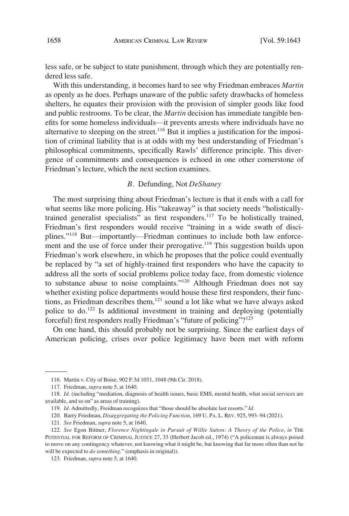<span id="page-15-0"></span>less safe, or be subject to state punishment, through which they are potentially rendered less safe.

With this understanding, it becomes hard to see why Friedman embraces *Martin*  as openly as he does. Perhaps unaware of the public safety drawbacks of homeless shelters, he equates their provision with the provision of simpler goods like food and public restrooms. To be clear, the *Martin* decision has immediate tangible benefits for some homeless individuals—it prevents arrests where individuals have no alternative to sleeping on the street.<sup>116</sup> But it implies a justification for the imposition of criminal liability that is at odds with my best understanding of Friedman's philosophical commitments, specifically Rawls' difference principle. This divergence of commitments and consequences is echoed in one other cornerstone of Friedman's lecture, which the next section examines.

## *B.* Defunding, Not *DeShaney*

The most surprising thing about Friedman's lecture is that it ends with a call for what seems like more policing. His "takeaway" is that society needs "holisticallytrained generalist specialists" as first responders.<sup>117</sup> To be holistically trained, Friedman's first responders would receive "training in a wide swath of disciplines."118 But—importantly—Friedman continues to include both law enforcement and the use of force under their prerogative.<sup>119</sup> This suggestion builds upon Friedman's work elsewhere, in which he proposes that the police could eventually be replaced by "a set of highly-trained first responders who have the capacity to address all the sorts of social problems police today face, from domestic violence to substance abuse to noise complaints."<sup>120</sup> Although Friedman does not say whether existing police departments would house these first responders, their functions, as Friedman describes them, $121$  sound a lot like what we have always asked police to do.<sup>122</sup> Is additional investment in training and deploying (potentially forceful) first responders really Friedman's "future of policing"?123

On one hand, this should probably not be surprising. Since the earliest days of American policing, crises over police legitimacy have been met with reform

<sup>116.</sup> Martin v. City of Boise, 902 F.3d 1031, 1048 (9th Cir. 2018).

<sup>117.</sup> Friedman, *supra* note 5, at 1640.

<sup>118.</sup> *Id.* (including "mediation, diagnosis of health issues, basic EMS, mental health, what social services are available, and so on" as areas of training).

<sup>119.</sup> *Id.* Admittedly, Freidman recognizes that "those should be absolute last resorts." *Id.* 

<sup>120.</sup> Barry Friedman, *Disaggregating the Policing Function*, 169 U. PA. L. REV. 925, 993–94 (2021).

<sup>121.</sup> *See* Friedman, *supra* note 5, at 1640.

<sup>122.</sup> *See* Egon Bittner, *Florence Nightingale in Pursuit of Willie Sutton: A Theory of the Police*, *in* THE POTENTIAL FOR REFORM OF CRIMINAL JUSTICE 27, 33 (Herbert Jacob ed., 1974) ("A policeman is always poised to move on any contingency whatever, not knowing what it might be, but knowing that far more often than not he will be expected to *do something*." (emphasis in original)).

<sup>123.</sup> Friedman, *supra* note 5, at 1640.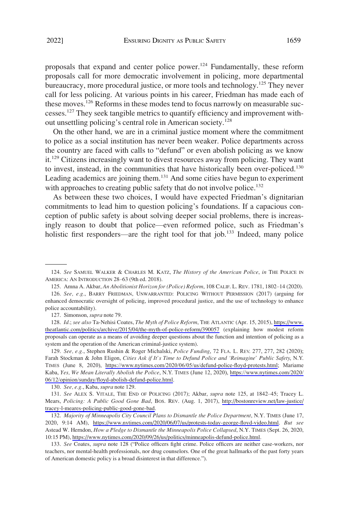proposals that expand and center police power.<sup>124</sup> Fundamentally, these reform proposals call for more democratic involvement in policing, more departmental bureaucracy, more procedural justice, or more tools and technology.<sup>125</sup> They never call for less policing. At various points in his career, Friedman has made each of these moves.<sup>126</sup> Reforms in these modes tend to focus narrowly on measurable successes.127 They seek tangible metrics to quantify efficiency and improvement without unsettling policing's central role in American society.<sup>128</sup>

On the other hand, we are in a criminal justice moment where the commitment to police as a social institution has never been weaker. Police departments across the country are faced with calls to "defund" or even abolish policing as we know it.<sup>129</sup> Citizens increasingly want to divest resources away from policing. They want to invest, instead, in the communities that have historically been over-policed.<sup>130</sup> Leading academics are joining them.<sup>131</sup> And some cities have begun to experiment with approaches to creating public safety that do not involve police.<sup>132</sup>

As between these two choices, I would have expected Friedman's dignitarian commitments to lead him to question policing's foundations. If a capacious conception of public safety is about solving deeper social problems, there is increasingly reason to doubt that police—even reformed police, such as Friedman's holistic first responders—are the right tool for that job.<sup>133</sup> Indeed, many police

127. Simonson, *supra* note 79.

128. Id.; see also Ta-Nehisi Coates, *The Myth of Police Reform*, THE ATLANTIC (Apr. 15, 2015), https://www. [theatlantic.com/politics/archive/2015/04/the-myth-of-police-reform/390057](https://www.theatlantic.com/politics/archive/2015/04/the-myth-of-police-reform/390057) (explaining how modest reform proposals can operate as a means of avoiding deeper questions about the function and intention of policing as a system and the operation of the American criminal-justice system).

*See, e.g.*, Stephen Rushin & Roger Michalski, *Police Funding*, 72 FLA. L. REV. 277, 277, 282 (2020); 129. Farah Stockman & John Eligon, *Cities Ask if It's Time to Defund Police and 'Reimagine' Public Safety*, N.Y. TIMES (June 8, 2020), [https://www.nytimes.com/2020/06/05/us/defund-police-floyd-protests.html;](https://www.nytimes.com/2020/06/05/us/defund-police-floyd-protests.html) Mariame Kaba, *Yes, We Mean Literally Abolish the Police*, N.Y. TIMES (June 12, 2020), [https://www.nytimes.com/2020/](https://www.nytimes.com/2020/06/12/opinion/sunday/floyd-abolish-defund-police.html)  [06/12/opinion/sunday/floyd-abolish-defund-police.html.](https://www.nytimes.com/2020/06/12/opinion/sunday/floyd-abolish-defund-police.html)

130. *See, e.g.*, Kaba, *supra* note 129.

*See* ALEX S. VITALE, THE END OF POLICING (2017); Akbar, *supra* note 125, at 1842–45; Tracey L. 131. Mears, *Policing: A Public Good Gone Bad*, BOS. REV. (Aug. 1, 2017), [http://bostonreview.net/law-justice/](http://bostonreview.net/law-justice/tracey-l-meares-policing-public-good-gone-bad) [tracey-l-meares-policing-public-good-gone-bad](http://bostonreview.net/law-justice/tracey-l-meares-policing-public-good-gone-bad).

132. Majority of Minneapolis City Council Plans to Dismantle the Police Department, N.Y. TIMES (June 17, 2020, 9:14 AM), <https://www.nytimes.com/2020/06/07/us/protests-today-george-floyd-video.html>. *But see*  Astead W. Herndon, *How a Pledge to Dismantle the Minneapolis Police Collapsed*, N.Y. TIMES (Sept. 26, 2020, 10:15 PM),<https://www.nytimes.com/2020/09/26/us/politics/minneapolis-defund-police.html>.

133. *See* Coates, *supra* note 128 ("Police officers fight crime. Police officers are neither case-workers, nor teachers, nor mental-health professionals, nor drug counselors. One of the great hallmarks of the past forty years of American domestic policy is a broad disinterest in that difference.").

<sup>124.</sup> *See* SAMUEL WALKER & CHARLES M. KATZ, *The History of the American Police*, *in* THE POLICE IN AMERICA: AN INTRODUCTION 28–63 (9th ed. 2018).

<sup>125.</sup> Amna A. Akbar, *An Abolitionist Horizon for (Police) Reform*, 108 CALIF. L. REV. 1781, 1802–14 (2020).

<sup>126.</sup> *See, e.g.*, BARRY FRIEDMAN, UNWARRANTED: POLICING WITHOUT PERMISSION (2017) (arguing for enhanced democratic oversight of policing, improved procedural justice, and the use of technology to enhance police accountability).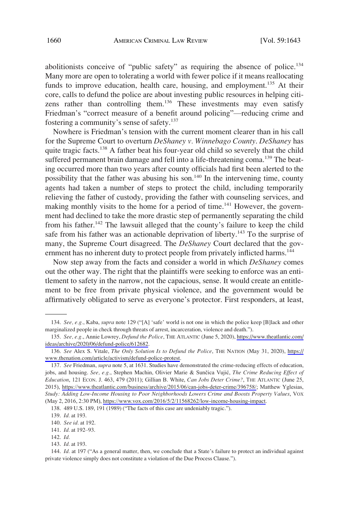abolitionists conceive of "public safety" as requiring the absence of police.<sup>134</sup> Many more are open to tolerating a world with fewer police if it means reallocating funds to improve education, health care, housing, and employment.<sup>135</sup> At their core, calls to defund the police are about investing public resources in helping citizens rather than controlling them.<sup>136</sup> These investments may even satisfy Friedman's "correct measure of a benefit around policing"—reducing crime and fostering a community's sense of safety.137

Nowhere is Friedman's tension with the current moment clearer than in his call for the Supreme Court to overturn *DeShaney v. Winnebago County*. *DeShaney* has quite tragic facts.<sup>138</sup> A father beat his four-year old child so severely that the child suffered permanent brain damage and fell into a life-threatening coma.<sup>139</sup> The beating occurred more than two years after county officials had first been alerted to the possibility that the father was abusing his son.140 In the intervening time, county agents had taken a number of steps to protect the child, including temporarily relieving the father of custody, providing the father with counseling services, and making monthly visits to the home for a period of time.<sup>141</sup> However, the government had declined to take the more drastic step of permanently separating the child from his father.<sup>142</sup> The lawsuit alleged that the county's failure to keep the child safe from his father was an actionable deprivation of liberty.<sup>143</sup> To the surprise of many, the Supreme Court disagreed. The *DeShaney* Court declared that the government has no inherent duty to protect people from privately inflicted harms.<sup>144</sup>

Now step away from the facts and consider a world in which *DeShaney* comes out the other way. The right that the plaintiffs were seeking to enforce was an entitlement to safety in the narrow, not the capacious, sense. It would create an entitlement to be free from private physical violence, and the government would be affirmatively obligated to serve as everyone's protector. First responders, at least,

<sup>134.</sup> *See, e.g.*, Kaba, *supra* note 129 ("[A] 'safe' world is not one in which the police keep [B]lack and other marginalized people in check through threats of arrest, incarceration, violence and death.").

*See, e.g.*, Annie Lowrey, *Defund the Police*, THE ATLANTIC (June 5, 2020), [https://www.theatlantic.com/](https://www.theatlantic.com/ideas/archive/2020/06/defund-police/612682) 135. [ideas/archive/2020/06/defund-police/612682.](https://www.theatlantic.com/ideas/archive/2020/06/defund-police/612682)

<sup>136.</sup> See Alex S. Vitale, *The Only Solution Is to Defund the Police*, THE NATION (May 31, 2020), [https://](https://www.thenation.com/article/activism/defund-police-protest) [www.thenation.com/article/activism/defund-police-protest.](https://www.thenation.com/article/activism/defund-police-protest)

<sup>137.</sup> See Friedman, *supra* note 5, at 1631. Studies have demonstrated the crime-reducing effects of education, jobs, and housing. *See, e.g.*, Stephen Machin, Olivier Marie & Sunčica Vujić, *The Crime Reducing Effect of Education*, 121 ECON. J. 463, 479 (2011); Gillian B. White, *Can Jobs Deter Crime?*, THE ATLANTIC (June 25, 2015), <https://www.theatlantic.com/business/archive/2015/06/can-jobs-deter-crime/396758/>; Matthew Yglesias, *Study: Adding Low-Income Housing to Poor Neighborhoods Lowers Crime and Boosts Property Values*, VOX (May 2, 2016, 2:30 PM), [https://www.vox.com/2016/5/2/11568262/low-income-housing-impact.](https://www.vox.com/2016/5/2/11568262/low-income-housing-impact)

<sup>138. 489</sup> U.S. 189, 191 (1989) ("The facts of this case are undeniably tragic.").

<sup>139.</sup> *Id.* at 193.

<sup>140.</sup> *See id.* at 192.

<sup>141.</sup> *Id.* at 192–93.

<sup>142.</sup> *Id.* 

<sup>143.</sup> *Id.* at 193.

<sup>144.</sup> *Id.* at 197 ("As a general matter, then, we conclude that a State's failure to protect an individual against private violence simply does not constitute a violation of the Due Process Clause.").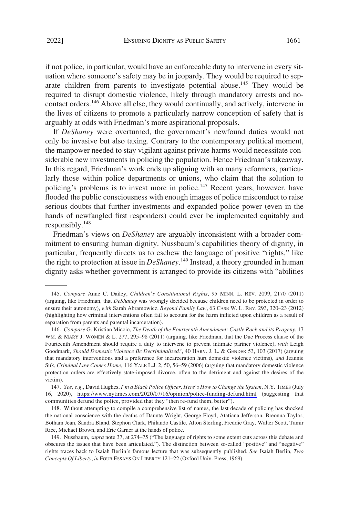if not police, in particular, would have an enforceable duty to intervene in every situation where someone's safety may be in jeopardy. They would be required to separate children from parents to investigate potential abuse.<sup>145</sup> They would be required to disrupt domestic violence, likely through mandatory arrests and nocontact orders.<sup>146</sup> Above all else, they would continually, and actively, intervene in the lives of citizens to promote a particularly narrow conception of safety that is arguably at odds with Friedman's more aspirational proposals.

If *DeShaney* were overturned, the government's newfound duties would not only be invasive but also taxing. Contrary to the contemporary political moment, the manpower needed to stay vigilant against private harms would necessitate considerable new investments in policing the population. Hence Friedman's takeaway. In this regard, Friedman's work ends up aligning with so many reformers, particularly those within police departments or unions, who claim that the solution to policing's problems is to invest more in police.<sup>147</sup> Recent years, however, have flooded the public consciousness with enough images of police misconduct to raise serious doubts that further investments and expanded police power (even in the hands of newfangled first responders) could ever be implemented equitably and responsibly. $148$ 

Friedman's views on *DeShaney* are arguably inconsistent with a broader commitment to ensuring human dignity. Nussbaum's capabilities theory of dignity, in particular, frequently directs us to eschew the language of positive "rights," like the right to protection at issue in *DeShaney*. 149 Instead, a theory grounded in human dignity asks whether government is arranged to provide its citizens with "abilities

<sup>145.</sup> *Compare* Anne C. Dailey, *Children's Constitutional Rights*, 95 MINN. L. REV. 2099, 2170 (2011) (arguing, like Friedman, that *DeShaney* was wrongly decided because children need to be protected in order to ensure their autonomy), *with* Sarah Abramowicz, *Beyond Family Law*, 63 CASE W. L. REV. 293, 320–23 (2012) (highlighting how criminal interventions often fail to account for the harm inflicted upon children as a result of separation from parents and parental incarceration).

<sup>146.</sup> *Compare* G. Kristian Miccio, *The Death of the Fourteenth Amendment: Castle Rock and its Progeny*, 17 WM. & MARY J. WOMEN & L. 277, 295–98 (2011) (arguing, like Friedman, that the Due Process clause of the Fourteenth Amendment should require a duty to intervene to prevent intimate partner violence), *with* Leigh Goodmark, *Should Domestic Violence Be Decriminalized?*, 40 HARV. J. L. & GENDER 53, 103 (2017) (arguing that mandatory interventions and a preference for incarceration hurt domestic violence victims), *and* Jeannie Suk, *Criminal Law Comes Home*, 116 YALE L.J. 2, 50, 56–59 (2006) (arguing that mandatory domestic violence protection orders are effectively state-imposed divorce, often to the detriment and against the desires of the victim).

*See, e.g.*, David Hughes, *I'm a Black Police Officer. Here's How to Change the System*, N.Y. TIMES (July 147. 16, 2020), <https://www.nytimes.com/2020/07/16/opinion/police-funding-defund.html>(suggesting that communities defund the police, provided that they "then re-fund them, better").

<sup>148.</sup> Without attempting to compile a comprehensive list of names, the last decade of policing has shocked the national conscience with the deaths of Daunte Wright, George Floyd, Atatiana Jefferson, Breonna Taylor, Botham Jean, Sandra Bland, Stephon Clark, Philando Castile, Alton Sterling, Freddie Gray, Walter Scott, Tamir Rice, Michael Brown, and Eric Garner at the hands of police.

<sup>149.</sup> Nussbaum, *supra* note 37, at 274–75 ("The language of rights to some extent cuts across this debate and obscures the issues that have been articulated."). The distinction between so-called "positive" and "negative" rights traces back to Isaiah Berlin's famous lecture that was subsequently published. *See* Isaiah Berlin, *Two Concepts Of Liberty*, *in* FOUR ESSAYS ON LIBERTY 121–22 (Oxford Univ. Press, 1969).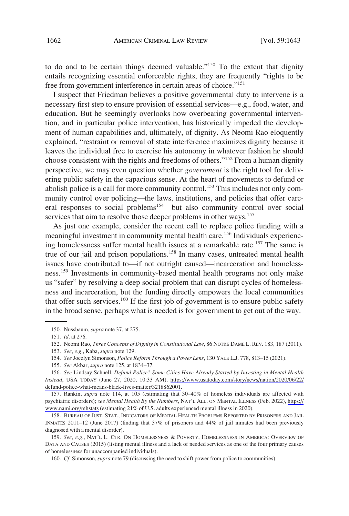to do and to be certain things deemed valuable."150 To the extent that dignity entails recognizing essential enforceable rights, they are frequently "rights to be free from government interference in certain areas of choice."<sup>151</sup>

I suspect that Friedman believes a positive governmental duty to intervene is a necessary first step to ensure provision of essential services—e.g., food, water, and education. But he seemingly overlooks how overbearing governmental intervention, and in particular police intervention, has historically impeded the development of human capabilities and, ultimately, of dignity. As Neomi Rao eloquently explained, "restraint or removal of state interference maximizes dignity because it leaves the individual free to exercise his autonomy in whatever fashion he should choose consistent with the rights and freedoms of others."152 From a human dignity perspective, we may even question whether *government* is the right tool for delivering public safety in the capacious sense. At the heart of movements to defund or abolish police is a call for more community control.<sup>153</sup> This includes not only community control over policing—the laws, institutions, and policies that offer carceral responses to social problems<sup>154</sup>—but also community control over social services that aim to resolve those deeper problems in other ways.<sup>155</sup>

As just one example, consider the recent call to replace police funding with a meaningful investment in community mental health care.<sup>156</sup> Individuals experiencing homelessness suffer mental health issues at a remarkable rate.<sup>157</sup> The same is true of our jail and prison populations.<sup>158</sup> In many cases, untreated mental health issues have contributed to—if not outright caused—incarceration and homelessness.159 Investments in community-based mental health programs not only make us "safer" by resolving a deep social problem that can disrupt cycles of homelessness and incarceration, but the funding directly empowers the local communities that offer such services.<sup>160</sup> If the first job of government is to ensure public safety in the broad sense, perhaps what is needed is for government to get out of the way.

157. Rankin, *supra* note 114, at 105 (estimating that 30–40% of homeless individuals are affected with psychiatric disorders); *see Mental Health By the Numbers*, NAT'L ALL. ON MENTAL ILLNESS (Feb. 2022), [https://](https://www.nami.org/mhstats) [www.nami.org/mhstats](https://www.nami.org/mhstats) (estimating 21% of U.S. adults experienced mental illness in 2020).

158. BUREAU OF JUST. STAT., INDICATORS OF MENTAL HEALTH PROBLEMS REPORTED BY PRISONERS AND JAIL INMATES 2011–12 (June 2017) (finding that 37% of prisoners and 44% of jail inmates had been previously diagnosed with a mental disorder).

159. *See, e.g.*, NAT'L L. CTR. ON HOMELESSNESS & POVERTY, HOMELESSNESS IN AMERICA: OVERVIEW OF DATA AND CAUSES (2015) (listing mental illness and a lack of needed services as one of the four primary causes of homelessness for unaccompanied individuals).

160. *Cf.* Simonson, *supra* note 79 (discussing the need to shift power from police to communities).

<sup>150.</sup> Nussbaum, *supra* note 37, at 275.

<sup>151.</sup> *Id.* at 276.

<sup>152.</sup> Neomi Rao, *Three Concepts of Dignity in Constitutional Law*, 86 NOTRE DAME L. REV. 183, 187 (2011).

<sup>153.</sup> *See, e.g.*, Kaba, *supra* note 129.

<sup>154.</sup> *See* Jocelyn Simonson, *Police Reform Through a Power Lens*, 130 YALE L.J. 778, 813–15 (2021).

<sup>155.</sup> *See* Akbar, *supra* note 125, at 1834–37.

*See* Lindsay Schnell, *Defund Police? Some Cities Have Already Started by Investing in Mental Health*  156. *Instead*, USA TODAY (June 27, 2020, 10:33 AM), [https://www.usatoday.com/story/news/nation/2020/06/22/](https://www.usatoday.com/story/news/nation/2020/06/22/defund-police-what-means-black-lives-matter/3218862001) [defund-police-what-means-black-lives-matter/3218862001.](https://www.usatoday.com/story/news/nation/2020/06/22/defund-police-what-means-black-lives-matter/3218862001)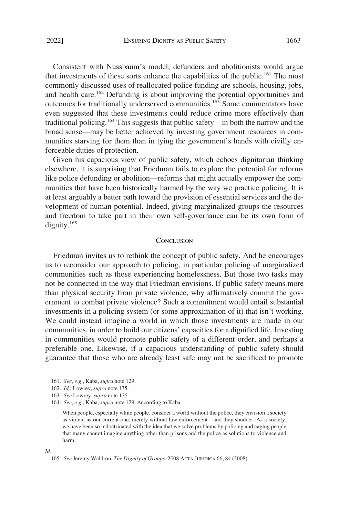<span id="page-20-0"></span>Consistent with Nussbaum's model, defunders and abolitionists would argue that investments of these sorts enhance the capabilities of the public.161 The most commonly discussed uses of reallocated police funding are schools, housing, jobs, and health care.<sup>162</sup> Defunding is about improving the potential opportunities and outcomes for traditionally underserved communities.163 Some commentators have even suggested that these investments could reduce crime more effectively than traditional policing.<sup>164</sup> This suggests that public safety—in both the narrow and the broad sense—may be better achieved by investing government resources in communities starving for them than in tying the government's hands with civilly enforceable duties of protection.

Given his capacious view of public safety, which echoes dignitarian thinking elsewhere, it is surprising that Friedman fails to explore the potential for reforms like police defunding or abolition—reforms that might actually empower the communities that have been historically harmed by the way we practice policing. It is at least arguably a better path toward the provision of essential services and the development of human potential. Indeed, giving marginalized groups the resources and freedom to take part in their own self-governance can be its own form of dignity. $165$ 

#### **CONCLUSION**

Friedman invites us to rethink the concept of public safety. And he encourages us to reconsider our approach to policing, in particular policing of marginalized communities such as those experiencing homelessness. But those two tasks may not be connected in the way that Friedman envisions. If public safety means more than physical security from private violence, why affirmatively commit the government to combat private violence? Such a commitment would entail substantial investments in a policing system (or some approximation of it) that isn't working. We could instead imagine a world in which those investments are made in our communities, in order to build our citizens' capacities for a dignified life. Investing in communities would promote public safety of a different order, and perhaps a preferable one. Likewise, if a capacious understanding of public safety should guarantee that those who are already least safe may not be sacrificed to promote

#### *Id.*

<sup>161.</sup> *See, e.g.*, Kaba, *supra* note 129.

<sup>162.</sup> *Id.*; Lowrey, *supra* note 135.

<sup>163.</sup> *See* Lowrey, *supra* note 135.

<sup>164.</sup> *See, e.g.*, Kaba, *supra* note 129. According to Kaba:

When people, especially white people, consider a world without the police, they envision a society as violent as our current one, merely without law enforcement—and they shudder. As a society, we have been so indoctrinated with the idea that we solve problems by policing and caging people that many cannot imagine anything other than prisons and the police as solutions to violence and harm.

<sup>165.</sup> *See* Jeremy Waldron, *The Dignity of Groups*, 2008 ACTA JURIDICA 66, 84 (2008).